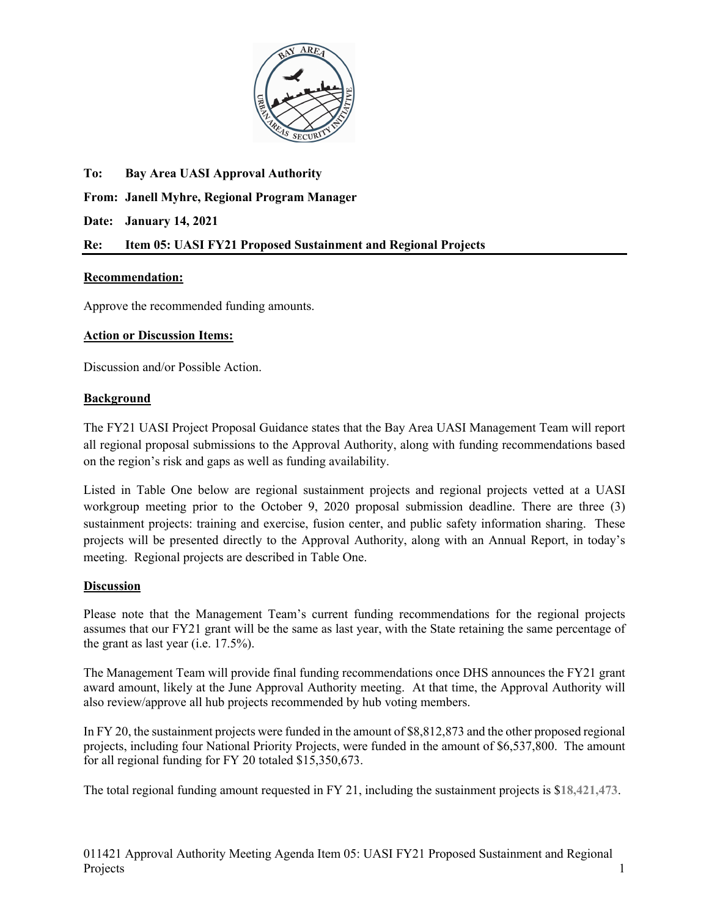

**To: Bay Area UASI Approval Authority From: Janell Myhre, Regional Program Manager Date: January 14, 2021 Re: Item 05: UASI FY21 Proposed Sustainment and Regional Projects**

## **Recommendation:**

Approve the recommended funding amounts.

## **Action or Discussion Items:**

Discussion and/or Possible Action.

## **Background**

The FY21 UASI Project Proposal Guidance states that the Bay Area UASI Management Team will report all regional proposal submissions to the Approval Authority, along with funding recommendations based on the region's risk and gaps as well as funding availability.

Listed in Table One below are regional sustainment projects and regional projects vetted at a UASI workgroup meeting prior to the October 9, 2020 proposal submission deadline. There are three (3) sustainment projects: training and exercise, fusion center, and public safety information sharing. These projects will be presented directly to the Approval Authority, along with an Annual Report, in today's meeting. Regional projects are described in Table One.

## **Discussion**

Please note that the Management Team's current funding recommendations for the regional projects assumes that our FY21 grant will be the same as last year, with the State retaining the same percentage of the grant as last year (i.e. 17.5%).

The Management Team will provide final funding recommendations once DHS announces the FY21 grant award amount, likely at the June Approval Authority meeting. At that time, the Approval Authority will also review/approve all hub projects recommended by hub voting members.

In FY 20, the sustainment projects were funded in the amount of \$8,812,873 and the other proposed regional projects, including four National Priority Projects, were funded in the amount of \$6,537,800. The amount for all regional funding for FY 20 totaled \$15,350,673.

The total regional funding amount requested in FY 21, including the sustainment projects is \$**18,421,473**.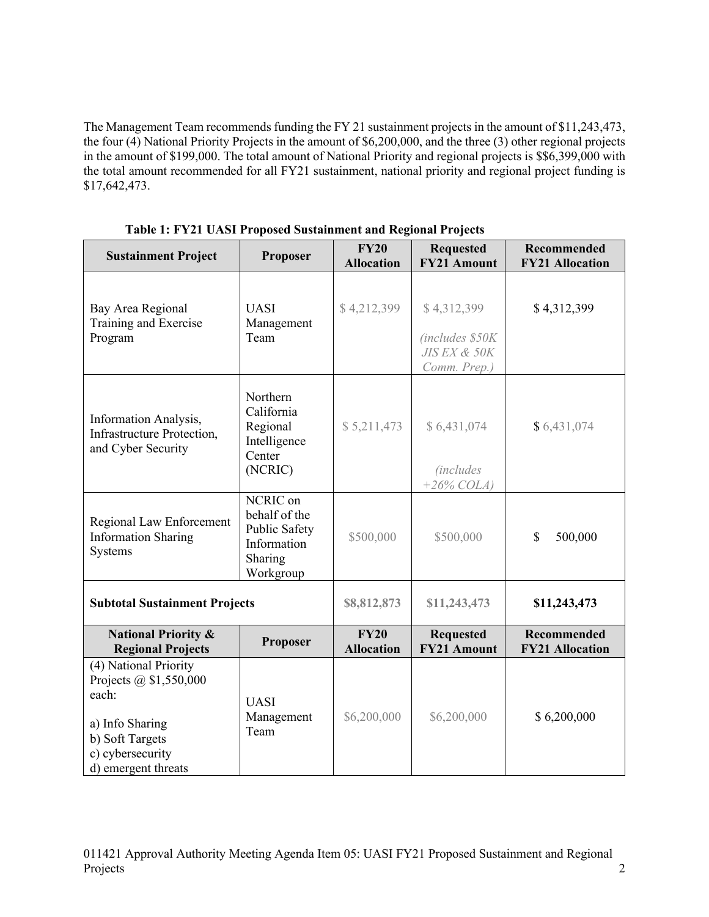The Management Team recommends funding the FY 21 sustainment projects in the amount of \$11,243,473, the four (4) National Priority Projects in the amount of \$6,200,000, and the three (3) other regional projects in the amount of \$199,000. The total amount of National Priority and regional projects is \$\$6,399,000 with the total amount recommended for all FY21 sustainment, national priority and regional project funding is \$17,642,473.

|                                                                                                                                                  |                                                                                   | <b>FY20</b>                      | <b>Requested</b>                                               | Recommended                                  |
|--------------------------------------------------------------------------------------------------------------------------------------------------|-----------------------------------------------------------------------------------|----------------------------------|----------------------------------------------------------------|----------------------------------------------|
| <b>Sustainment Project</b>                                                                                                                       | Proposer                                                                          | <b>Allocation</b>                | <b>FY21 Amount</b>                                             | <b>FY21 Allocation</b>                       |
| Bay Area Regional<br>Training and Exercise<br>Program                                                                                            | <b>UASI</b><br>Management<br>Team                                                 | \$4,212,399                      | \$4,312,399<br>(includes \$50K<br>JIS EX & 50K<br>Comm. Prep.) | \$4,312,399                                  |
| Information Analysis,<br>Infrastructure Protection,<br>and Cyber Security                                                                        | Northern<br>California<br>Regional<br>Intelligence<br>Center<br>(NCRIC)           | \$5,211,473                      | \$6,431,074<br><i>(includes)</i><br>$+26\%$ COLA)              | \$6,431,074                                  |
| Regional Law Enforcement<br><b>Information Sharing</b><br>Systems                                                                                | NCRIC on<br>behalf of the<br>Public Safety<br>Information<br>Sharing<br>Workgroup | \$500,000                        | \$500,000                                                      | \$<br>500,000                                |
| <b>Subtotal Sustainment Projects</b>                                                                                                             |                                                                                   | \$8,812,873                      | \$11,243,473                                                   | \$11,243,473                                 |
| <b>National Priority &amp;</b><br><b>Regional Projects</b>                                                                                       | Proposer                                                                          | <b>FY20</b><br><b>Allocation</b> | <b>Requested</b><br><b>FY21 Amount</b>                         | <b>Recommended</b><br><b>FY21 Allocation</b> |
| (4) National Priority<br>Projects $\omega$ \$1,550,000<br>each:<br>a) Info Sharing<br>b) Soft Targets<br>c) cybersecurity<br>d) emergent threats | <b>UASI</b><br>Management<br>Team                                                 | \$6,200,000                      | \$6,200,000                                                    | \$6,200,000                                  |

**Table 1: FY21 UASI Proposed Sustainment and Regional Projects**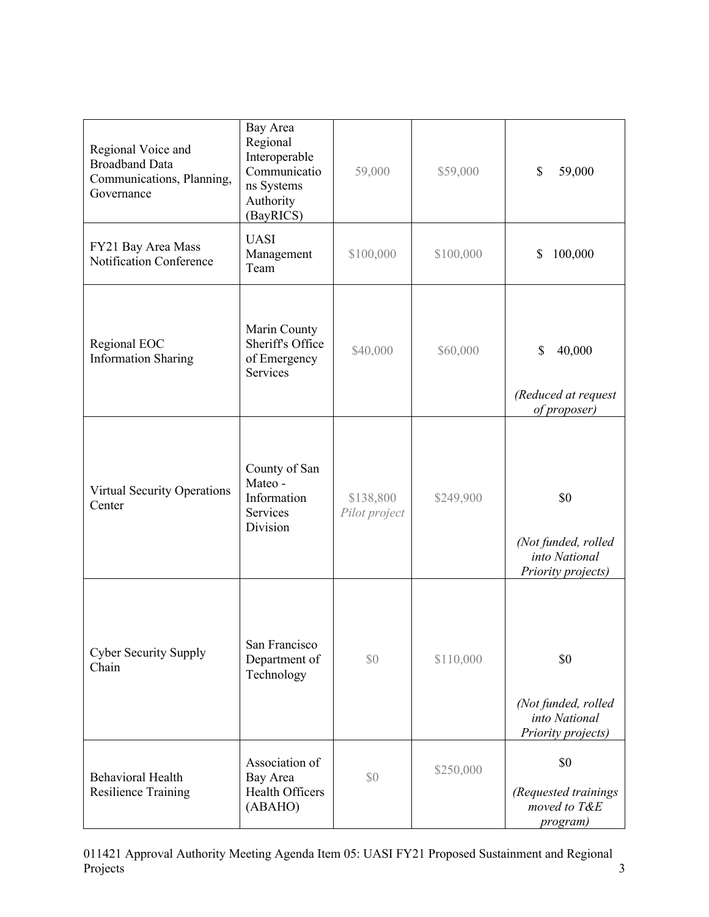| Regional Voice and<br><b>Broadband Data</b><br>Communications, Planning,<br>Governance | Bay Area<br>Regional<br>Interoperable<br>Communicatio<br>ns Systems<br>Authority<br>(BayRICS) | 59,000                     | \$59,000  | \$<br>59,000                                                      |
|----------------------------------------------------------------------------------------|-----------------------------------------------------------------------------------------------|----------------------------|-----------|-------------------------------------------------------------------|
| FY21 Bay Area Mass<br>Notification Conference                                          | <b>UASI</b><br>Management<br>Team                                                             | \$100,000                  | \$100,000 | 100,000<br>\$                                                     |
| Regional EOC<br><b>Information Sharing</b>                                             | Marin County<br>Sheriff's Office<br>of Emergency<br><b>Services</b>                           | \$40,000                   | \$60,000  | \$<br>40,000<br>(Reduced at request<br>of proposer)               |
| Virtual Security Operations<br>Center                                                  | County of San<br>Mateo -<br>Information<br>Services<br>Division                               | \$138,800<br>Pilot project | \$249,900 | \$0<br>(Not funded, rolled<br>into National<br>Priority projects) |
| <b>Cyber Security Supply</b><br>Chain                                                  | San Francisco<br>Department of<br>Technology                                                  | \$0                        | \$110,000 | \$0<br>(Not funded, rolled<br>into National<br>Priority projects) |
| <b>Behavioral Health</b><br>Resilience Training                                        | Association of<br>Bay Area<br>Health Officers<br>(ABAHO)                                      | \$0                        | \$250,000 | \$0<br>(Requested trainings<br>moved to T&E<br><i>program</i> )   |